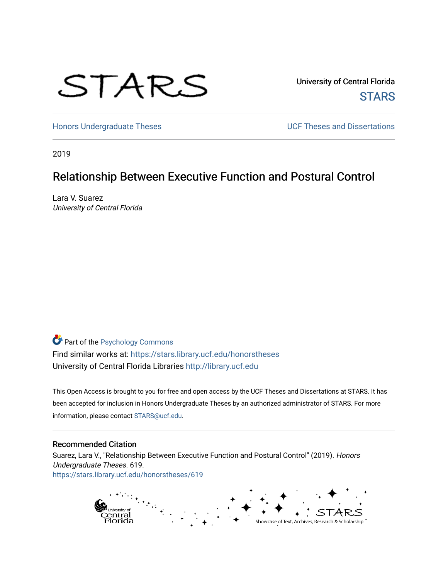# STARS

University of Central Florida **STARS** 

[Honors Undergraduate Theses](https://stars.library.ucf.edu/honorstheses) **Exercise 2 and Serverse** UCF Theses and Dissertations

2019

## Relationship Between Executive Function and Postural Control

Lara V. Suarez University of Central Florida

## Part of the [Psychology Commons](http://network.bepress.com/hgg/discipline/404?utm_source=stars.library.ucf.edu%2Fhonorstheses%2F619&utm_medium=PDF&utm_campaign=PDFCoverPages)

Find similar works at: <https://stars.library.ucf.edu/honorstheses> University of Central Florida Libraries [http://library.ucf.edu](http://library.ucf.edu/) 

This Open Access is brought to you for free and open access by the UCF Theses and Dissertations at STARS. It has been accepted for inclusion in Honors Undergraduate Theses by an authorized administrator of STARS. For more information, please contact [STARS@ucf.edu.](mailto:STARS@ucf.edu)

#### Recommended Citation

Suarez, Lara V., "Relationship Between Executive Function and Postural Control" (2019). Honors Undergraduate Theses. 619. [https://stars.library.ucf.edu/honorstheses/619](https://stars.library.ucf.edu/honorstheses/619?utm_source=stars.library.ucf.edu%2Fhonorstheses%2F619&utm_medium=PDF&utm_campaign=PDFCoverPages) 

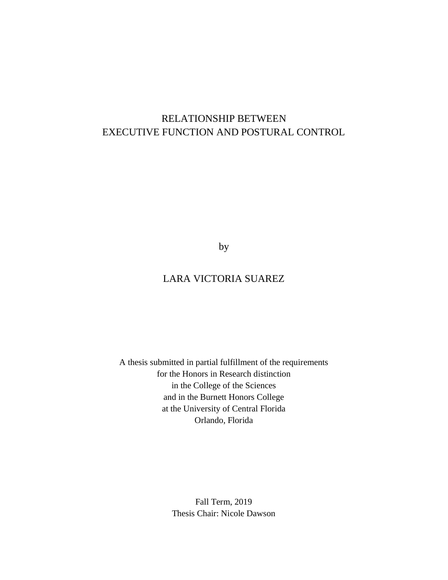# RELATIONSHIP BETWEEN EXECUTIVE FUNCTION AND POSTURAL CONTROL

by

## LARA VICTORIA SUAREZ

A thesis submitted in partial fulfillment of the requirements for the Honors in Research distinction in the College of the Sciences and in the Burnett Honors College at the University of Central Florida Orlando, Florida

> Fall Term, 2019 Thesis Chair: Nicole Dawson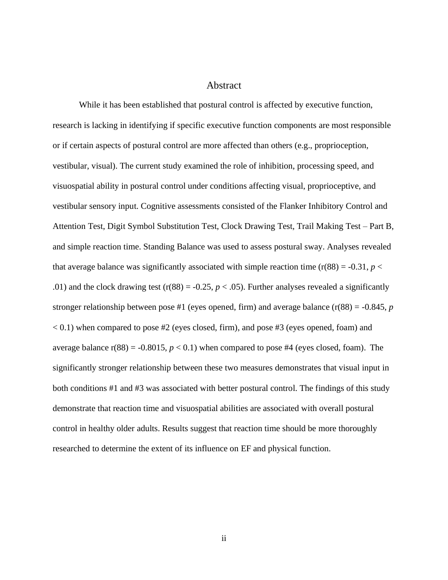#### Abstract

While it has been established that postural control is affected by executive function, research is lacking in identifying if specific executive function components are most responsible or if certain aspects of postural control are more affected than others (e.g., proprioception, vestibular, visual). The current study examined the role of inhibition, processing speed, and visuospatial ability in postural control under conditions affecting visual, proprioceptive, and vestibular sensory input. Cognitive assessments consisted of the Flanker Inhibitory Control and Attention Test, Digit Symbol Substitution Test, Clock Drawing Test, Trail Making Test – Part B, and simple reaction time. Standing Balance was used to assess postural sway. Analyses revealed that average balance was significantly associated with simple reaction time  $(r(88) = -0.31, p <$ .01) and the clock drawing test ( $r(88) = -0.25$ ,  $p < .05$ ). Further analyses revealed a significantly stronger relationship between pose #1 (eyes opened, firm) and average balance  $(r(88) = -0.845, p$  $< 0.1$ ) when compared to pose #2 (eyes closed, firm), and pose #3 (eyes opened, foam) and average balance  $r(88) = -0.8015$ ,  $p < 0.1$ ) when compared to pose #4 (eyes closed, foam). The significantly stronger relationship between these two measures demonstrates that visual input in both conditions #1 and #3 was associated with better postural control. The findings of this study demonstrate that reaction time and visuospatial abilities are associated with overall postural control in healthy older adults. Results suggest that reaction time should be more thoroughly researched to determine the extent of its influence on EF and physical function.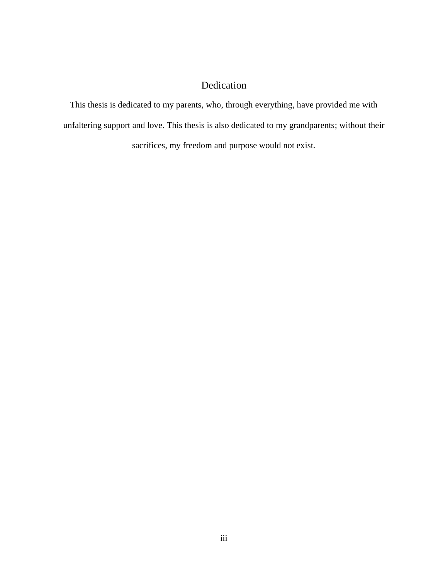## Dedication

This thesis is dedicated to my parents, who, through everything, have provided me with unfaltering support and love. This thesis is also dedicated to my grandparents; without their sacrifices, my freedom and purpose would not exist.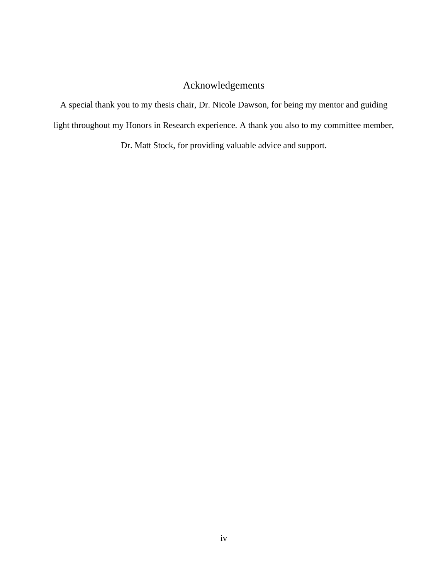## Acknowledgements

A special thank you to my thesis chair, Dr. Nicole Dawson, for being my mentor and guiding light throughout my Honors in Research experience. A thank you also to my committee member,

Dr. Matt Stock, for providing valuable advice and support.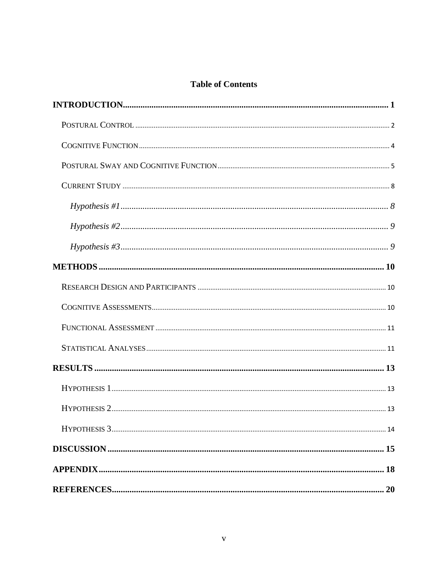### **Table of Contents**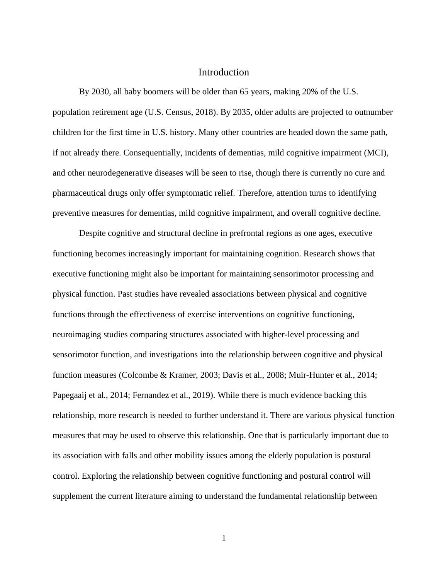#### **Introduction**

<span id="page-6-0"></span>By 2030, all baby boomers will be older than 65 years, making 20% of the U.S. population retirement age (U.S. Census, 2018). By 2035, older adults are projected to outnumber children for the first time in U.S. history. Many other countries are headed down the same path, if not already there. Consequentially, incidents of dementias, mild cognitive impairment (MCI), and other neurodegenerative diseases will be seen to rise, though there is currently no cure and pharmaceutical drugs only offer symptomatic relief. Therefore, attention turns to identifying preventive measures for dementias, mild cognitive impairment, and overall cognitive decline.

Despite cognitive and structural decline in prefrontal regions as one ages, executive functioning becomes increasingly important for maintaining cognition. Research shows that executive functioning might also be important for maintaining sensorimotor processing and physical function. Past studies have revealed associations between physical and cognitive functions through the effectiveness of exercise interventions on cognitive functioning, neuroimaging studies comparing structures associated with higher-level processing and sensorimotor function, and investigations into the relationship between cognitive and physical function measures (Colcombe & Kramer, 2003; Davis et al., 2008; Muir-Hunter et al., 2014; Papegaaij et al., 2014; Fernandez et al., 2019). While there is much evidence backing this relationship, more research is needed to further understand it. There are various physical function measures that may be used to observe this relationship. One that is particularly important due to its association with falls and other mobility issues among the elderly population is postural control. Exploring the relationship between cognitive functioning and postural control will supplement the current literature aiming to understand the fundamental relationship between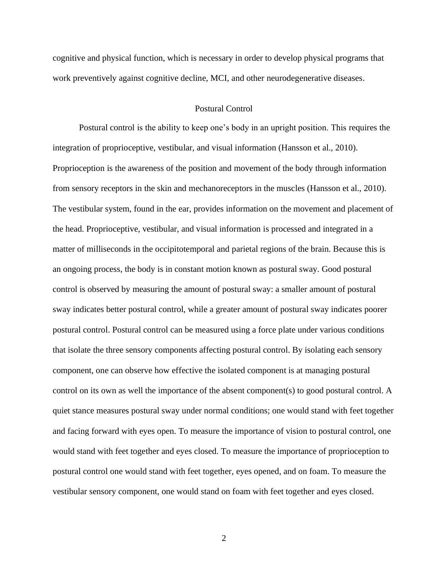cognitive and physical function, which is necessary in order to develop physical programs that work preventively against cognitive decline, MCI, and other neurodegenerative diseases.

#### Postural Control

<span id="page-7-0"></span>Postural control is the ability to keep one's body in an upright position. This requires the integration of proprioceptive, vestibular, and visual information (Hansson et al., 2010). Proprioception is the awareness of the position and movement of the body through information from sensory receptors in the skin and mechanoreceptors in the muscles (Hansson et al., 2010). The vestibular system, found in the ear, provides information on the movement and placement of the head. Proprioceptive, vestibular, and visual information is processed and integrated in a matter of milliseconds in the occipitotemporal and parietal regions of the brain. Because this is an ongoing process, the body is in constant motion known as postural sway. Good postural control is observed by measuring the amount of postural sway: a smaller amount of postural sway indicates better postural control, while a greater amount of postural sway indicates poorer postural control. Postural control can be measured using a force plate under various conditions that isolate the three sensory components affecting postural control. By isolating each sensory component, one can observe how effective the isolated component is at managing postural control on its own as well the importance of the absent component(s) to good postural control. A quiet stance measures postural sway under normal conditions; one would stand with feet together and facing forward with eyes open. To measure the importance of vision to postural control, one would stand with feet together and eyes closed. To measure the importance of proprioception to postural control one would stand with feet together, eyes opened, and on foam. To measure the vestibular sensory component, one would stand on foam with feet together and eyes closed.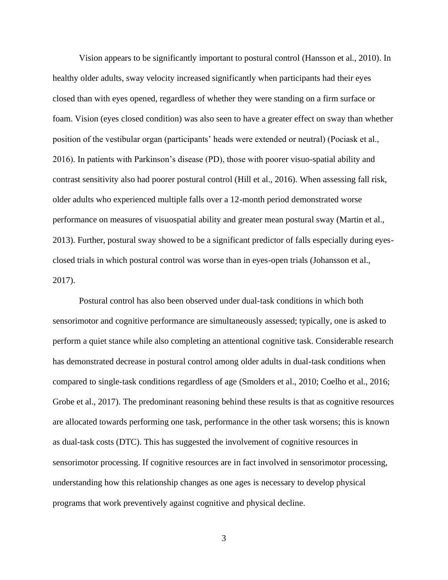Vision appears to be significantly important to postural control (Hansson et al., 2010). In healthy older adults, sway velocity increased significantly when participants had their eyes closed than with eyes opened, regardless of whether they were standing on a firm surface or foam. Vision (eyes closed condition) was also seen to have a greater effect on sway than whether position of the vestibular organ (participants' heads were extended or neutral) (Pociask et al., 2016). In patients with Parkinson's disease (PD), those with poorer visuo-spatial ability and contrast sensitivity also had poorer postural control (Hill et al., 2016). When assessing fall risk, older adults who experienced multiple falls over a 12-month period demonstrated worse performance on measures of visuospatial ability and greater mean postural sway (Martin et al., 2013). Further, postural sway showed to be a significant predictor of falls especially during eyesclosed trials in which postural control was worse than in eyes-open trials (Johansson et al., 2017).

Postural control has also been observed under dual-task conditions in which both sensorimotor and cognitive performance are simultaneously assessed; typically, one is asked to perform a quiet stance while also completing an attentional cognitive task. Considerable research has demonstrated decrease in postural control among older adults in dual-task conditions when compared to single-task conditions regardless of age (Smolders et al., 2010; Coelho et al., 2016; Grobe et al., 2017). The predominant reasoning behind these results is that as cognitive resources are allocated towards performing one task, performance in the other task worsens; this is known as dual-task costs (DTC). This has suggested the involvement of cognitive resources in sensorimotor processing. If cognitive resources are in fact involved in sensorimotor processing, understanding how this relationship changes as one ages is necessary to develop physical programs that work preventively against cognitive and physical decline.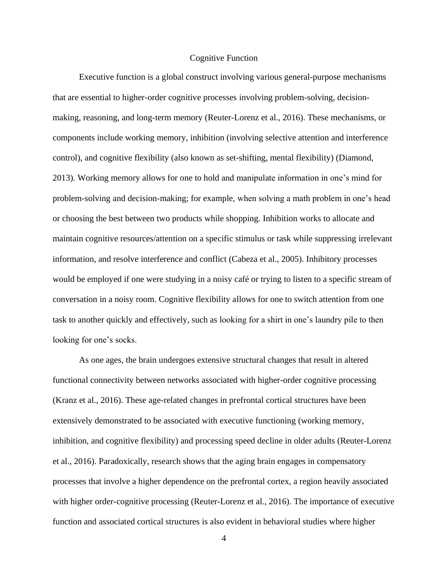#### Cognitive Function

<span id="page-9-0"></span>Executive function is a global construct involving various general-purpose mechanisms that are essential to higher-order cognitive processes involving problem-solving, decisionmaking, reasoning, and long-term memory (Reuter-Lorenz et al., 2016). These mechanisms, or components include working memory, inhibition (involving selective attention and interference control), and cognitive flexibility (also known as set-shifting, mental flexibility) (Diamond, 2013). Working memory allows for one to hold and manipulate information in one's mind for problem-solving and decision-making; for example, when solving a math problem in one's head or choosing the best between two products while shopping. Inhibition works to allocate and maintain cognitive resources/attention on a specific stimulus or task while suppressing irrelevant information, and resolve interference and conflict (Cabeza et al., 2005). Inhibitory processes would be employed if one were studying in a noisy café or trying to listen to a specific stream of conversation in a noisy room. Cognitive flexibility allows for one to switch attention from one task to another quickly and effectively, such as looking for a shirt in one's laundry pile to then looking for one's socks.

As one ages, the brain undergoes extensive structural changes that result in altered functional connectivity between networks associated with higher-order cognitive processing (Kranz et al., 2016). These age-related changes in prefrontal cortical structures have been extensively demonstrated to be associated with executive functioning (working memory, inhibition, and cognitive flexibility) and processing speed decline in older adults (Reuter-Lorenz et al., 2016). Paradoxically, research shows that the aging brain engages in compensatory processes that involve a higher dependence on the prefrontal cortex, a region heavily associated with higher order-cognitive processing (Reuter-Lorenz et al., 2016). The importance of executive function and associated cortical structures is also evident in behavioral studies where higher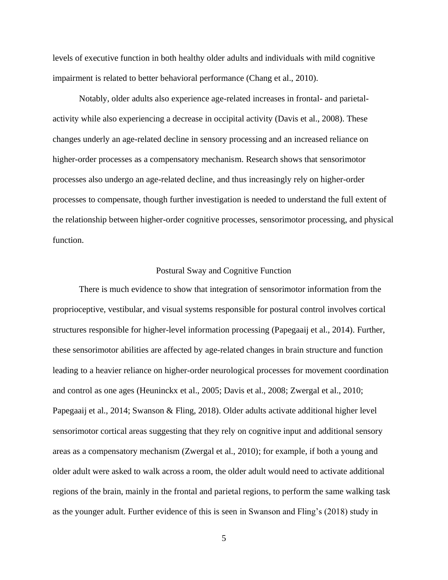levels of executive function in both healthy older adults and individuals with mild cognitive impairment is related to better behavioral performance (Chang et al., 2010).

Notably, older adults also experience age-related increases in frontal- and parietalactivity while also experiencing a decrease in occipital activity (Davis et al., 2008). These changes underly an age-related decline in sensory processing and an increased reliance on higher-order processes as a compensatory mechanism. Research shows that sensorimotor processes also undergo an age-related decline, and thus increasingly rely on higher-order processes to compensate, though further investigation is needed to understand the full extent of the relationship between higher-order cognitive processes, sensorimotor processing, and physical function.

#### Postural Sway and Cognitive Function

<span id="page-10-0"></span>There is much evidence to show that integration of sensorimotor information from the proprioceptive, vestibular, and visual systems responsible for postural control involves cortical structures responsible for higher-level information processing (Papegaaij et al., 2014). Further, these sensorimotor abilities are affected by age-related changes in brain structure and function leading to a heavier reliance on higher-order neurological processes for movement coordination and control as one ages (Heuninckx et al., 2005; Davis et al., 2008; Zwergal et al., 2010; Papegaaij et al., 2014; Swanson & Fling, 2018). Older adults activate additional higher level sensorimotor cortical areas suggesting that they rely on cognitive input and additional sensory areas as a compensatory mechanism (Zwergal et al., 2010); for example, if both a young and older adult were asked to walk across a room, the older adult would need to activate additional regions of the brain, mainly in the frontal and parietal regions, to perform the same walking task as the younger adult. Further evidence of this is seen in Swanson and Fling's (2018) study in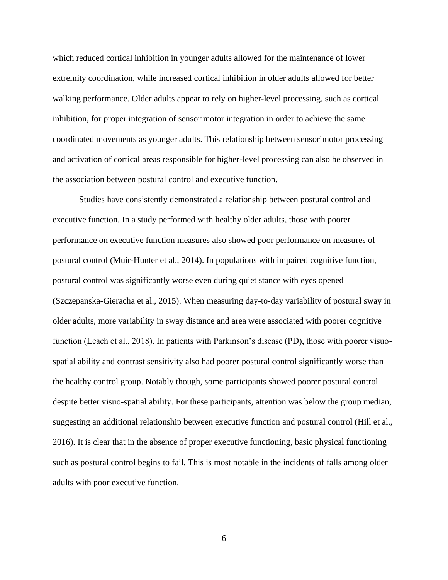which reduced cortical inhibition in younger adults allowed for the maintenance of lower extremity coordination, while increased cortical inhibition in older adults allowed for better walking performance. Older adults appear to rely on higher-level processing, such as cortical inhibition, for proper integration of sensorimotor integration in order to achieve the same coordinated movements as younger adults. This relationship between sensorimotor processing and activation of cortical areas responsible for higher-level processing can also be observed in the association between postural control and executive function.

Studies have consistently demonstrated a relationship between postural control and executive function. In a study performed with healthy older adults, those with poorer performance on executive function measures also showed poor performance on measures of postural control (Muir-Hunter et al., 2014). In populations with impaired cognitive function, postural control was significantly worse even during quiet stance with eyes opened (Szczepanska-Gieracha et al., 2015). When measuring day-to-day variability of postural sway in older adults, more variability in sway distance and area were associated with poorer cognitive function (Leach et al., 2018). In patients with Parkinson's disease (PD), those with poorer visuospatial ability and contrast sensitivity also had poorer postural control significantly worse than the healthy control group. Notably though, some participants showed poorer postural control despite better visuo-spatial ability. For these participants, attention was below the group median, suggesting an additional relationship between executive function and postural control (Hill et al., 2016). It is clear that in the absence of proper executive functioning, basic physical functioning such as postural control begins to fail. This is most notable in the incidents of falls among older adults with poor executive function.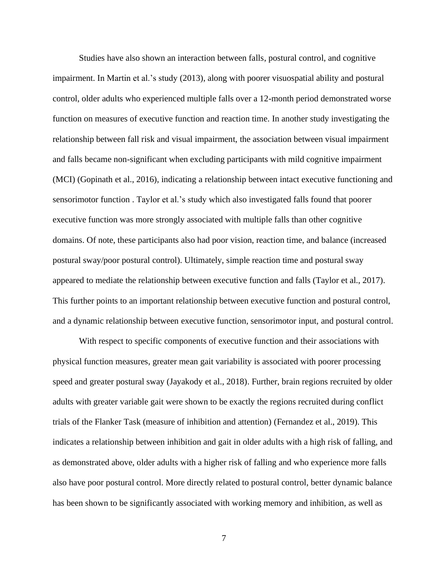Studies have also shown an interaction between falls, postural control, and cognitive impairment. In Martin et al.'s study (2013), along with poorer visuospatial ability and postural control, older adults who experienced multiple falls over a 12-month period demonstrated worse function on measures of executive function and reaction time. In another study investigating the relationship between fall risk and visual impairment, the association between visual impairment and falls became non-significant when excluding participants with mild cognitive impairment (MCI) (Gopinath et al., 2016), indicating a relationship between intact executive functioning and sensorimotor function . Taylor et al.'s study which also investigated falls found that poorer executive function was more strongly associated with multiple falls than other cognitive domains. Of note, these participants also had poor vision, reaction time, and balance (increased postural sway/poor postural control). Ultimately, simple reaction time and postural sway appeared to mediate the relationship between executive function and falls (Taylor et al., 2017). This further points to an important relationship between executive function and postural control, and a dynamic relationship between executive function, sensorimotor input, and postural control.

With respect to specific components of executive function and their associations with physical function measures, greater mean gait variability is associated with poorer processing speed and greater postural sway (Jayakody et al., 2018). Further, brain regions recruited by older adults with greater variable gait were shown to be exactly the regions recruited during conflict trials of the Flanker Task (measure of inhibition and attention) (Fernandez et al., 2019). This indicates a relationship between inhibition and gait in older adults with a high risk of falling, and as demonstrated above, older adults with a higher risk of falling and who experience more falls also have poor postural control. More directly related to postural control, better dynamic balance has been shown to be significantly associated with working memory and inhibition, as well as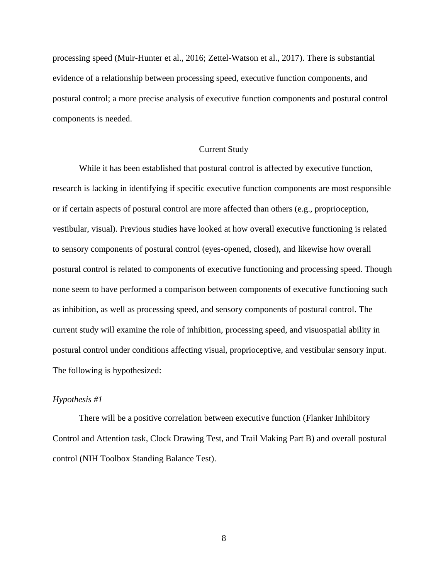processing speed (Muir-Hunter et al., 2016; Zettel-Watson et al., 2017). There is substantial evidence of a relationship between processing speed, executive function components, and postural control; a more precise analysis of executive function components and postural control components is needed.

#### Current Study

<span id="page-13-0"></span>While it has been established that postural control is affected by executive function, research is lacking in identifying if specific executive function components are most responsible or if certain aspects of postural control are more affected than others (e.g., proprioception, vestibular, visual). Previous studies have looked at how overall executive functioning is related to sensory components of postural control (eyes-opened, closed), and likewise how overall postural control is related to components of executive functioning and processing speed. Though none seem to have performed a comparison between components of executive functioning such as inhibition, as well as processing speed, and sensory components of postural control. The current study will examine the role of inhibition, processing speed, and visuospatial ability in postural control under conditions affecting visual, proprioceptive, and vestibular sensory input. The following is hypothesized:

#### <span id="page-13-1"></span>*Hypothesis #1*

There will be a positive correlation between executive function (Flanker Inhibitory Control and Attention task, Clock Drawing Test, and Trail Making Part B) and overall postural control (NIH Toolbox Standing Balance Test).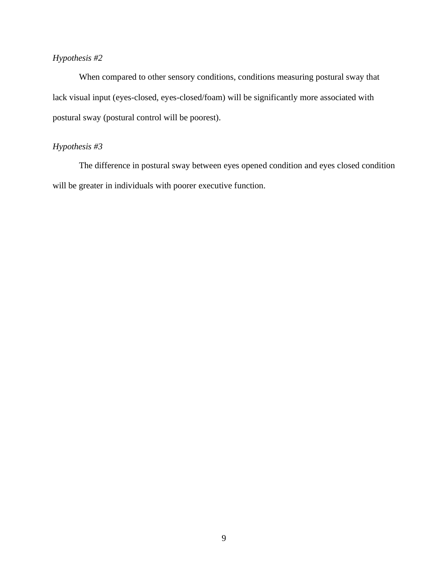## <span id="page-14-0"></span>*Hypothesis #2*

When compared to other sensory conditions, conditions measuring postural sway that lack visual input (eyes-closed, eyes-closed/foam) will be significantly more associated with postural sway (postural control will be poorest).

## <span id="page-14-1"></span>*Hypothesis #3*

<span id="page-14-2"></span>The difference in postural sway between eyes opened condition and eyes closed condition will be greater in individuals with poorer executive function.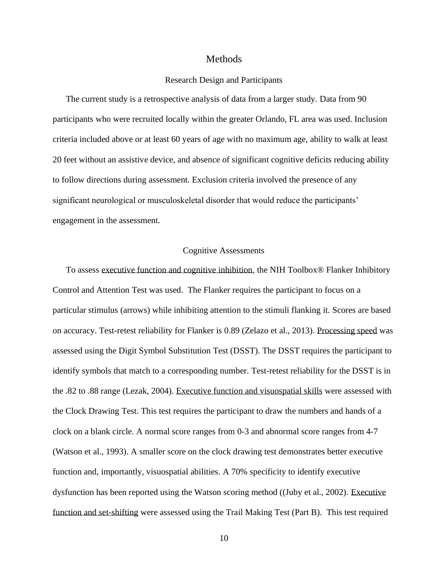#### Methods

#### Research Design and Participants

<span id="page-15-0"></span>The current study is a retrospective analysis of data from a larger study. Data from 90 participants who were recruited locally within the greater Orlando, FL area was used. Inclusion criteria included above or at least 60 years of age with no maximum age, ability to walk at least 20 feet without an assistive device, and absence of significant cognitive deficits reducing ability to follow directions during assessment. Exclusion criteria involved the presence of any significant neurological or musculoskeletal disorder that would reduce the participants' engagement in the assessment.

#### Cognitive Assessments

<span id="page-15-1"></span>To assess executive function and cognitive inhibition, the NIH Toolbox® Flanker Inhibitory Control and Attention Test was used. The Flanker requires the participant to focus on a particular stimulus (arrows) while inhibiting attention to the stimuli flanking it. Scores are based on accuracy. Test-retest reliability for Flanker is 0.89 (Zelazo et al., 2013). Processing speed was assessed using the Digit Symbol Substitution Test (DSST). The DSST requires the participant to identify symbols that match to a corresponding number. Test-retest reliability for the DSST is in the .82 to .88 range (Lezak, 2004). Executive function and visuospatial skills were assessed with the Clock Drawing Test. This test requires the participant to draw the numbers and hands of a clock on a blank circle. A normal score ranges from 0-3 and abnormal score ranges from 4-7 (Watson et al., 1993). A smaller score on the clock drawing test demonstrates better executive function and, importantly, visuospatial abilities. A 70% specificity to identify executive dysfunction has been reported using the Watson scoring method ((Juby et al., 2002). Executive function and set-shifting were assessed using the Trail Making Test (Part B). This test required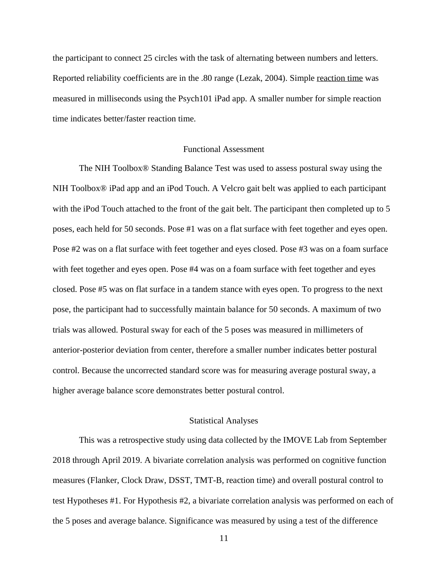the participant to connect 25 circles with the task of alternating between numbers and letters. Reported reliability coefficients are in the .80 range (Lezak, 2004). Simple reaction time was measured in milliseconds using the Psych101 iPad app. A smaller number for simple reaction time indicates better/faster reaction time.

#### Functional Assessment

<span id="page-16-0"></span>The NIH Toolbox® Standing Balance Test was used to assess postural sway using the NIH Toolbox® iPad app and an iPod Touch. A Velcro gait belt was applied to each participant with the iPod Touch attached to the front of the gait belt. The participant then completed up to 5 poses, each held for 50 seconds. Pose #1 was on a flat surface with feet together and eyes open. Pose #2 was on a flat surface with feet together and eyes closed. Pose #3 was on a foam surface with feet together and eyes open. Pose #4 was on a foam surface with feet together and eyes closed. Pose #5 was on flat surface in a tandem stance with eyes open. To progress to the next pose, the participant had to successfully maintain balance for 50 seconds. A maximum of two trials was allowed. Postural sway for each of the 5 poses was measured in millimeters of anterior-posterior deviation from center, therefore a smaller number indicates better postural control. Because the uncorrected standard score was for measuring average postural sway, a higher average balance score demonstrates better postural control.

#### Statistical Analyses

<span id="page-16-1"></span>This was a retrospective study using data collected by the IMOVE Lab from September 2018 through April 2019. A bivariate correlation analysis was performed on cognitive function measures (Flanker, Clock Draw, DSST, TMT-B, reaction time) and overall postural control to test Hypotheses #1. For Hypothesis #2, a bivariate correlation analysis was performed on each of the 5 poses and average balance. Significance was measured by using a test of the difference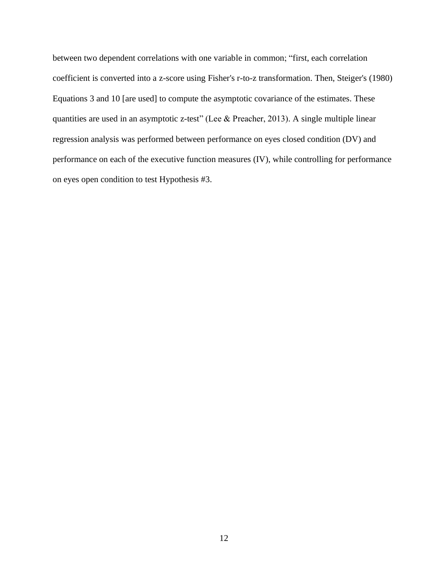<span id="page-17-0"></span>between two dependent correlations with one variable in common; "first, each correlation coefficient is converted into a z-score using Fisher's r-to-z transformation. Then, Steiger's (1980) Equations 3 and 10 [are used] to compute the asymptotic covariance of the estimates. These quantities are used in an asymptotic z-test" (Lee & Preacher, 2013). A single multiple linear regression analysis was performed between performance on eyes closed condition (DV) and performance on each of the executive function measures (IV), while controlling for performance on eyes open condition to test Hypothesis #3.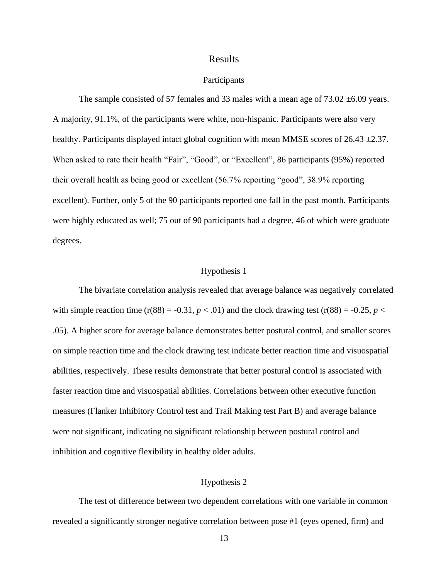#### Results

#### Participants

The sample consisted of 57 females and 33 males with a mean age of  $73.02 \pm 6.09$  years. A majority, 91.1%, of the participants were white, non-hispanic. Participants were also very healthy. Participants displayed intact global cognition with mean MMSE scores of  $26.43 \pm 2.37$ . When asked to rate their health "Fair", "Good", or "Excellent", 86 participants (95%) reported their overall health as being good or excellent (56.7% reporting "good", 38.9% reporting excellent). Further, only 5 of the 90 participants reported one fall in the past month. Participants were highly educated as well; 75 out of 90 participants had a degree, 46 of which were graduate degrees.

#### Hypothesis 1

<span id="page-18-0"></span>The bivariate correlation analysis revealed that average balance was negatively correlated with simple reaction time (r(88) = -0.31,  $p < .01$ ) and the clock drawing test (r(88) = -0.25,  $p <$ .05). A higher score for average balance demonstrates better postural control, and smaller scores on simple reaction time and the clock drawing test indicate better reaction time and visuospatial abilities, respectively. These results demonstrate that better postural control is associated with faster reaction time and visuospatial abilities. Correlations between other executive function measures (Flanker Inhibitory Control test and Trail Making test Part B) and average balance were not significant, indicating no significant relationship between postural control and inhibition and cognitive flexibility in healthy older adults.

#### Hypothesis 2

<span id="page-18-1"></span>The test of difference between two dependent correlations with one variable in common revealed a significantly stronger negative correlation between pose #1 (eyes opened, firm) and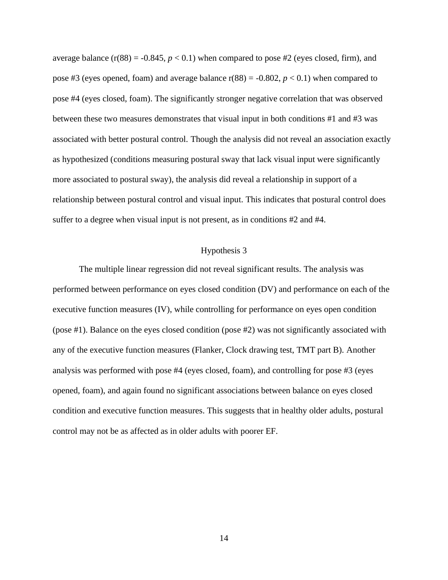average balance  $(r(88) = -0.845, p < 0.1)$  when compared to pose #2 (eyes closed, firm), and pose #3 (eyes opened, foam) and average balance  $r(88) = -0.802$ ,  $p < 0.1$ ) when compared to pose #4 (eyes closed, foam). The significantly stronger negative correlation that was observed between these two measures demonstrates that visual input in both conditions #1 and #3 was associated with better postural control. Though the analysis did not reveal an association exactly as hypothesized (conditions measuring postural sway that lack visual input were significantly more associated to postural sway), the analysis did reveal a relationship in support of a relationship between postural control and visual input. This indicates that postural control does suffer to a degree when visual input is not present, as in conditions #2 and #4.

#### Hypothesis 3

<span id="page-19-1"></span><span id="page-19-0"></span>The multiple linear regression did not reveal significant results. The analysis was performed between performance on eyes closed condition (DV) and performance on each of the executive function measures (IV), while controlling for performance on eyes open condition (pose #1). Balance on the eyes closed condition (pose #2) was not significantly associated with any of the executive function measures (Flanker, Clock drawing test, TMT part B). Another analysis was performed with pose #4 (eyes closed, foam), and controlling for pose #3 (eyes opened, foam), and again found no significant associations between balance on eyes closed condition and executive function measures. This suggests that in healthy older adults, postural control may not be as affected as in older adults with poorer EF.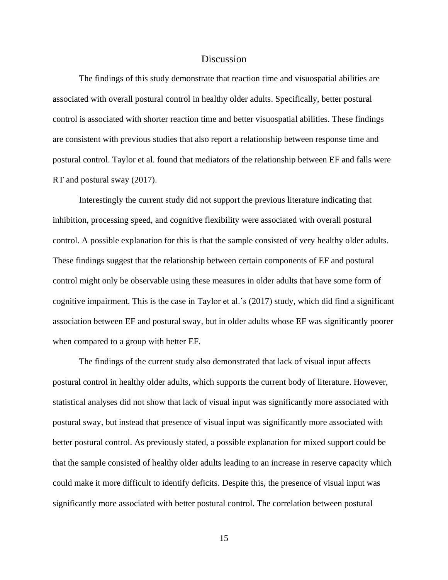#### **Discussion**

The findings of this study demonstrate that reaction time and visuospatial abilities are associated with overall postural control in healthy older adults. Specifically, better postural control is associated with shorter reaction time and better visuospatial abilities. These findings are consistent with previous studies that also report a relationship between response time and postural control. Taylor et al. found that mediators of the relationship between EF and falls were RT and postural sway (2017).

Interestingly the current study did not support the previous literature indicating that inhibition, processing speed, and cognitive flexibility were associated with overall postural control. A possible explanation for this is that the sample consisted of very healthy older adults. These findings suggest that the relationship between certain components of EF and postural control might only be observable using these measures in older adults that have some form of cognitive impairment. This is the case in Taylor et al.'s (2017) study, which did find a significant association between EF and postural sway, but in older adults whose EF was significantly poorer when compared to a group with better EF.

The findings of the current study also demonstrated that lack of visual input affects postural control in healthy older adults, which supports the current body of literature. However, statistical analyses did not show that lack of visual input was significantly more associated with postural sway, but instead that presence of visual input was significantly more associated with better postural control. As previously stated, a possible explanation for mixed support could be that the sample consisted of healthy older adults leading to an increase in reserve capacity which could make it more difficult to identify deficits. Despite this, the presence of visual input was significantly more associated with better postural control. The correlation between postural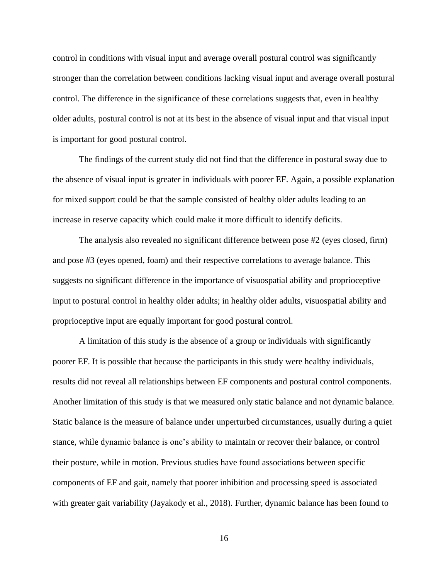control in conditions with visual input and average overall postural control was significantly stronger than the correlation between conditions lacking visual input and average overall postural control. The difference in the significance of these correlations suggests that, even in healthy older adults, postural control is not at its best in the absence of visual input and that visual input is important for good postural control.

The findings of the current study did not find that the difference in postural sway due to the absence of visual input is greater in individuals with poorer EF. Again, a possible explanation for mixed support could be that the sample consisted of healthy older adults leading to an increase in reserve capacity which could make it more difficult to identify deficits.

The analysis also revealed no significant difference between pose #2 (eyes closed, firm) and pose #3 (eyes opened, foam) and their respective correlations to average balance. This suggests no significant difference in the importance of visuospatial ability and proprioceptive input to postural control in healthy older adults; in healthy older adults, visuospatial ability and proprioceptive input are equally important for good postural control.

A limitation of this study is the absence of a group or individuals with significantly poorer EF. It is possible that because the participants in this study were healthy individuals, results did not reveal all relationships between EF components and postural control components. Another limitation of this study is that we measured only static balance and not dynamic balance. Static balance is the measure of balance under unperturbed circumstances, usually during a quiet stance, while dynamic balance is one's ability to maintain or recover their balance, or control their posture, while in motion. Previous studies have found associations between specific components of EF and gait, namely that poorer inhibition and processing speed is associated with greater gait variability (Jayakody et al., 2018). Further, dynamic balance has been found to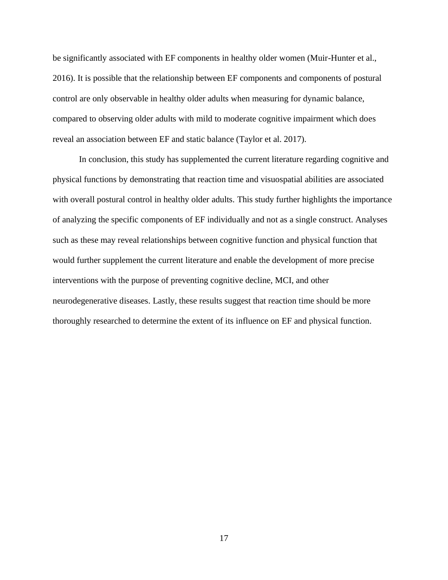be significantly associated with EF components in healthy older women (Muir-Hunter et al., 2016). It is possible that the relationship between EF components and components of postural control are only observable in healthy older adults when measuring for dynamic balance, compared to observing older adults with mild to moderate cognitive impairment which does reveal an association between EF and static balance (Taylor et al. 2017).

In conclusion, this study has supplemented the current literature regarding cognitive and physical functions by demonstrating that reaction time and visuospatial abilities are associated with overall postural control in healthy older adults. This study further highlights the importance of analyzing the specific components of EF individually and not as a single construct. Analyses such as these may reveal relationships between cognitive function and physical function that would further supplement the current literature and enable the development of more precise interventions with the purpose of preventing cognitive decline, MCI, and other neurodegenerative diseases. Lastly, these results suggest that reaction time should be more thoroughly researched to determine the extent of its influence on EF and physical function.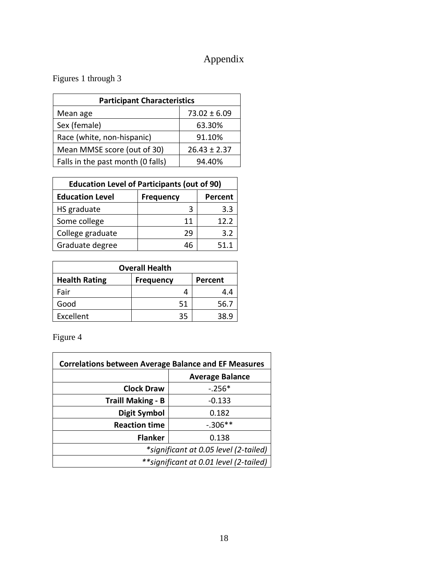# Appendix

<span id="page-23-0"></span>Figures 1 through 3

| <b>Participant Characteristics</b> |                  |  |  |
|------------------------------------|------------------|--|--|
| Mean age                           | $73.02 \pm 6.09$ |  |  |
| Sex (female)                       | 63.30%           |  |  |
| Race (white, non-hispanic)         | 91.10%           |  |  |
| Mean MMSE score (out of 30)        | $26.43 \pm 2.37$ |  |  |
| Falls in the past month (0 falls)  | 94.40%           |  |  |

| <b>Education Level of Participants (out of 90)</b> |                  |         |  |
|----------------------------------------------------|------------------|---------|--|
| <b>Education Level</b>                             | <b>Frequency</b> | Percent |  |
| HS graduate                                        | 3                | 3.3     |  |
| Some college                                       | 11               | 12.2    |  |
| College graduate                                   | 29               | 3.2     |  |
| Graduate degree                                    | 46               | 51.1    |  |

| <b>Overall Health</b> |                  |         |  |  |
|-----------------------|------------------|---------|--|--|
| <b>Health Rating</b>  | <b>Frequency</b> | Percent |  |  |
| Fair                  |                  | 4.4     |  |  |
| Good                  | 51               | 56.7    |  |  |
| Excellent             | 35               | 38.9    |  |  |

Figure 4

| <b>Correlations between Average Balance and EF Measures</b> |                        |  |  |
|-------------------------------------------------------------|------------------------|--|--|
|                                                             | <b>Average Balance</b> |  |  |
| <b>Clock Draw</b>                                           | $-.256*$               |  |  |
| <b>Traill Making - B</b>                                    | $-0.133$               |  |  |
| <b>Digit Symbol</b>                                         | 0.182                  |  |  |
| <b>Reaction time</b>                                        | $-.306**$              |  |  |
| <b>Flanker</b>                                              | 0.138                  |  |  |
| *significant at 0.05 level (2-tailed)                       |                        |  |  |
| ** significant at 0.01 level (2-tailed)                     |                        |  |  |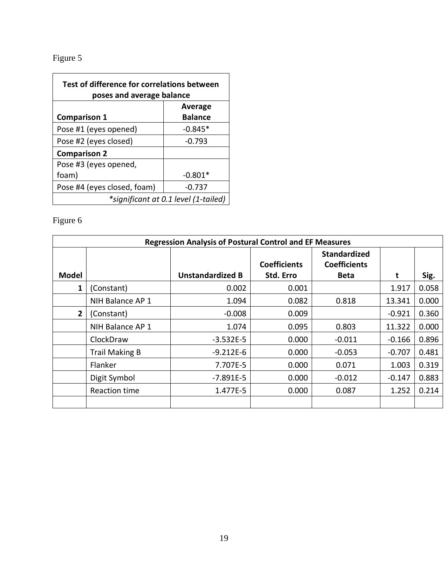# Figure 5

| Test of difference for correlations between<br>poses and average balance |                |  |
|--------------------------------------------------------------------------|----------------|--|
|                                                                          | Average        |  |
| <b>Comparison 1</b>                                                      | <b>Balance</b> |  |
| Pose #1 (eyes opened)                                                    | $-0.845*$      |  |
| Pose #2 (eyes closed)                                                    | $-0.793$       |  |
| <b>Comparison 2</b>                                                      |                |  |
| Pose #3 (eyes opened,                                                    |                |  |
| foam)                                                                    | $-0.801*$      |  |
| Pose #4 (eyes closed, foam)                                              | $-0.737$       |  |
| *significant at 0.1 level (1-tailed)                                     |                |  |

# Figure 6

| <b>Regression Analysis of Postural Control and EF Measures</b> |                       |                         |                                  |                                                           |          |       |
|----------------------------------------------------------------|-----------------------|-------------------------|----------------------------------|-----------------------------------------------------------|----------|-------|
| <b>Model</b>                                                   |                       | <b>Unstandardized B</b> | <b>Coefficients</b><br>Std. Erro | <b>Standardized</b><br><b>Coefficients</b><br><b>Beta</b> | t        | Sig.  |
| 1                                                              | (Constant)            | 0.002                   | 0.001                            |                                                           | 1.917    | 0.058 |
|                                                                | NIH Balance AP 1      | 1.094                   | 0.082                            | 0.818                                                     | 13.341   | 0.000 |
| $\mathbf{2}$                                                   | (Constant)            | $-0.008$                | 0.009                            |                                                           | $-0.921$ | 0.360 |
|                                                                | NIH Balance AP 1      | 1.074                   | 0.095                            | 0.803                                                     | 11.322   | 0.000 |
|                                                                | ClockDraw             | $-3.532E-5$             | 0.000                            | $-0.011$                                                  | $-0.166$ | 0.896 |
|                                                                | <b>Trail Making B</b> | $-9.212E-6$             | 0.000                            | $-0.053$                                                  | $-0.707$ | 0.481 |
|                                                                | Flanker               | 7.707E-5                | 0.000                            | 0.071                                                     | 1.003    | 0.319 |
|                                                                | Digit Symbol          | $-7.891E-5$             | 0.000                            | $-0.012$                                                  | $-0.147$ | 0.883 |
|                                                                | Reaction time         | 1.477E-5                | 0.000                            | 0.087                                                     | 1.252    | 0.214 |
|                                                                |                       |                         |                                  |                                                           |          |       |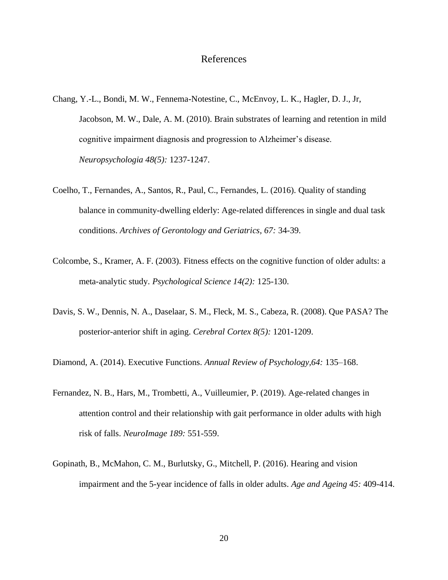#### References

- <span id="page-25-0"></span>Chang, Y.-L., Bondi, M. W., Fennema-Notestine, C., McEnvoy, L. K., Hagler, D. J., Jr, Jacobson, M. W., Dale, A. M. (2010). Brain substrates of learning and retention in mild cognitive impairment diagnosis and progression to Alzheimer's disease. *Neuropsychologia 48(5):* 1237-1247.
- Coelho, T., Fernandes, A., Santos, R., Paul, C., Fernandes, L. (2016). Quality of standing balance in community-dwelling elderly: Age-related differences in single and dual task conditions. *Archives of Gerontology and Geriatrics, 67:* 34-39.
- Colcombe, S., Kramer, A. F. (2003). Fitness effects on the cognitive function of older adults: a meta-analytic study. *Psychological Science 14(2):* 125-130.
- Davis, S. W., Dennis, N. A., Daselaar, S. M., Fleck, M. S., Cabeza, R. (2008). Que PASA? The posterior-anterior shift in aging. *Cerebral Cortex 8(5):* 1201-1209.

Diamond, A. (2014). Executive Functions. *Annual Review of Psychology,64:* 135–168.

- Fernandez, N. B., Hars, M., Trombetti, A., Vuilleumier, P. (2019). Age-related changes in attention control and their relationship with gait performance in older adults with high risk of falls. *NeuroImage 189:* 551-559.
- Gopinath, B., McMahon, C. M., Burlutsky, G., Mitchell, P. (2016). Hearing and vision impairment and the 5-year incidence of falls in older adults. *Age and Ageing 45:* 409-414.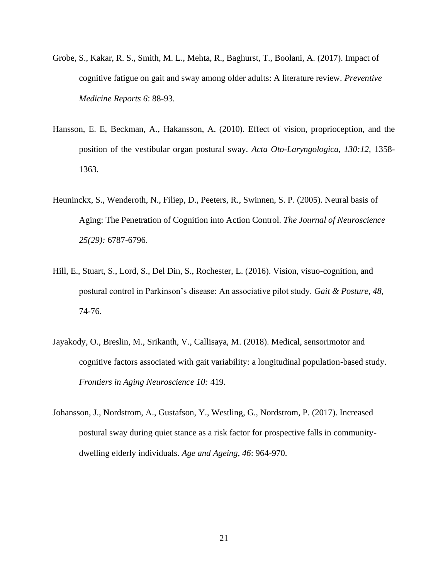- Grobe, S., Kakar, R. S., Smith, M. L., Mehta, R., Baghurst, T., Boolani, A. (2017). Impact of cognitive fatigue on gait and sway among older adults: A literature review. *Preventive Medicine Reports 6*: 88-93.
- Hansson, E. E, Beckman, A., Hakansson, A. (2010). Effect of vision, proprioception, and the position of the vestibular organ postural sway. *Acta Oto-Laryngologica, 130:12,* 1358- 1363.
- Heuninckx, S., Wenderoth, N., Filiep, D., Peeters, R., Swinnen, S. P. (2005). Neural basis of Aging: The Penetration of Cognition into Action Control. *The Journal of Neuroscience 25(29):* 6787-6796.
- Hill, E., Stuart, S., Lord, S., Del Din, S., Rochester, L. (2016). Vision, visuo-cognition, and postural control in Parkinson's disease: An associative pilot study. *Gait & Posture, 48,*  74-76.
- Jayakody, O., Breslin, M., Srikanth, V., Callisaya, M. (2018). Medical, sensorimotor and cognitive factors associated with gait variability: a longitudinal population-based study. *Frontiers in Aging Neuroscience 10:* 419.
- Johansson, J., Nordstrom, A., Gustafson, Y., Westling, G., Nordstrom, P. (2017). Increased postural sway during quiet stance as a risk factor for prospective falls in communitydwelling elderly individuals. *Age and Ageing, 46*: 964-970.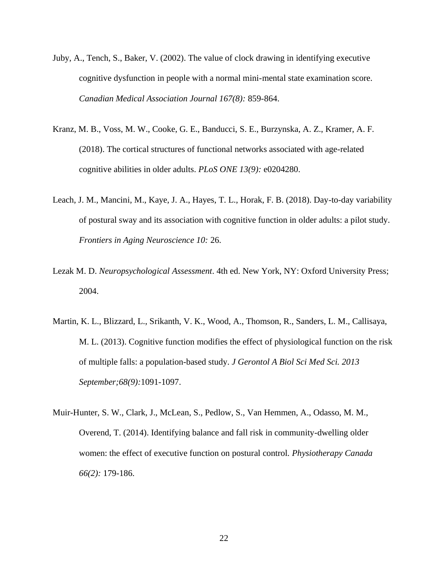- Juby, A., Tench, S., Baker, V. (2002). The value of clock drawing in identifying executive cognitive dysfunction in people with a normal mini-mental state examination score. *Canadian Medical Association Journal 167(8):* 859-864.
- Kranz, M. B., Voss, M. W., Cooke, G. E., Banducci, S. E., Burzynska, A. Z., Kramer, A. F. (2018). The cortical structures of functional networks associated with age-related cognitive abilities in older adults. *PLoS ONE 13(9):* e0204280.
- Leach, J. M., Mancini, M., Kaye, J. A., Hayes, T. L., Horak, F. B. (2018). Day-to-day variability of postural sway and its association with cognitive function in older adults: a pilot study. *Frontiers in Aging Neuroscience 10:* 26.
- Lezak M. D. *Neuropsychological Assessment*. 4th ed. New York, NY: Oxford University Press; 2004.
- Martin, K. L., Blizzard, L., Srikanth, V. K., Wood, A., Thomson, R., Sanders, L. M., Callisaya, M. L. (2013). Cognitive function modifies the effect of physiological function on the risk of multiple falls: a population-based study. *J Gerontol A Biol Sci Med Sci. 2013 September;68(9):*1091-1097.
- Muir-Hunter, S. W., Clark, J., McLean, S., Pedlow, S., Van Hemmen, A., Odasso, M. M., Overend, T. (2014). Identifying balance and fall risk in community-dwelling older women: the effect of executive function on postural control. *Physiotherapy Canada 66(2):* 179-186.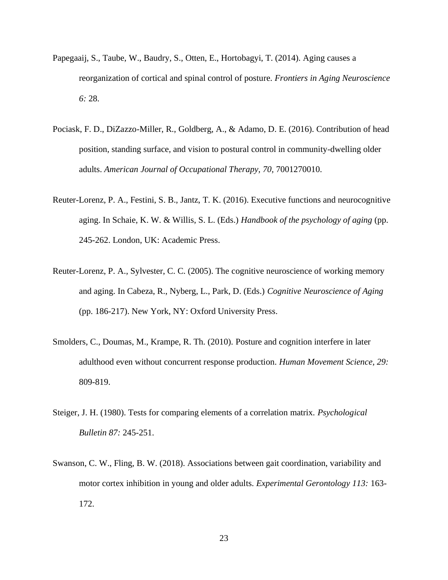- Papegaaij, S., Taube, W., Baudry, S., Otten, E., Hortobagyi, T. (2014). Aging causes a reorganization of cortical and spinal control of posture. *Frontiers in Aging Neuroscience 6:* 28.
- Pociask, F. D., DiZazzo-Miller, R., Goldberg, A., & Adamo, D. E. (2016). Contribution of head position, standing surface, and vision to postural control in community-dwelling older adults. *American Journal of Occupational Therapy, 70,* 7001270010.
- Reuter-Lorenz, P. A., Festini, S. B., Jantz, T. K. (2016). Executive functions and neurocognitive aging. In Schaie, K. W. & Willis, S. L. (Eds.) *Handbook of the psychology of aging* (pp. 245-262. London, UK: Academic Press.
- Reuter-Lorenz, P. A., Sylvester, C. C. (2005). The cognitive neuroscience of working memory and aging. In Cabeza, R., Nyberg, L., Park, D. (Eds.) *Cognitive Neuroscience of Aging*  (pp. 186-217). New York, NY: Oxford University Press.
- Smolders, C., Doumas, M., Krampe, R. Th. (2010). Posture and cognition interfere in later adulthood even without concurrent response production. *Human Movement Science, 29:*  809-819.
- Steiger, J. H. (1980). Tests for comparing elements of a correlation matrix. *Psychological Bulletin 87:* 245-251.
- Swanson, C. W., Fling, B. W. (2018). Associations between gait coordination, variability and motor cortex inhibition in young and older adults. *Experimental Gerontology 113:* 163- 172.